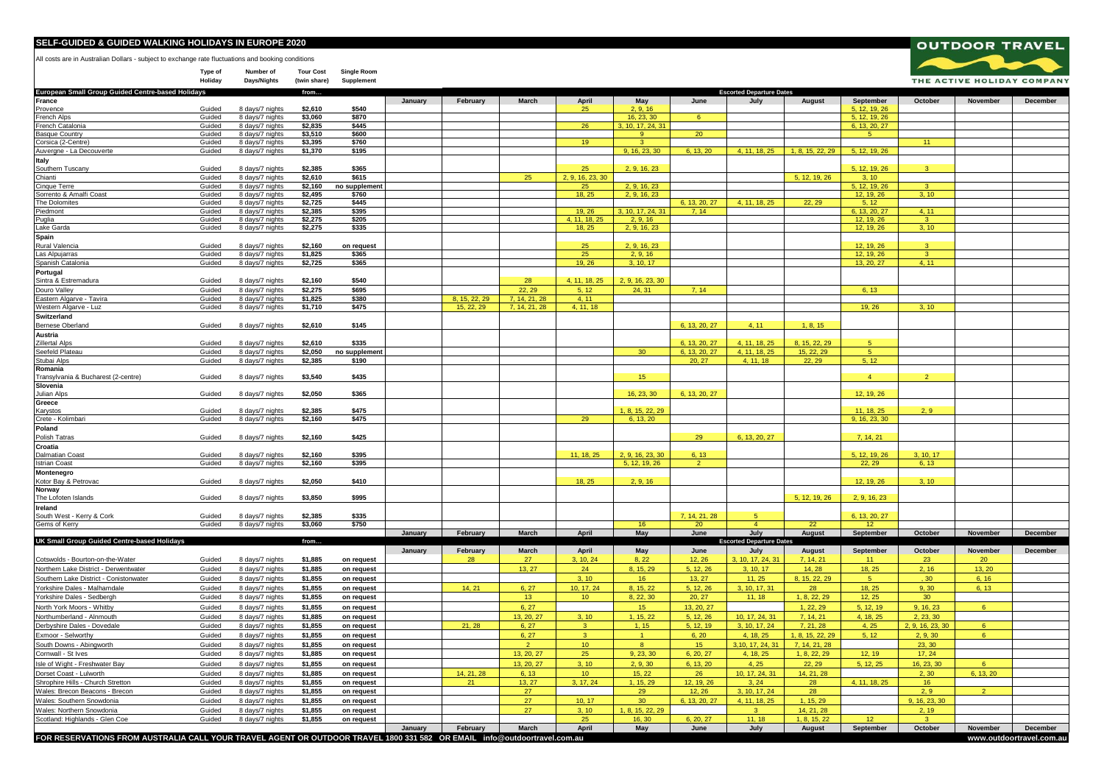## **SELF-GUIDED & GUIDED WALKING HOLIDAYS IN EUROPE 2020**

All costs are in Australian Dollars - subject to exchange rate fluctuations and booking conditions

**Type of Number of Tour Cost Single Room**  $Days/Nights$ 



**OUTDOOR TRAVEL**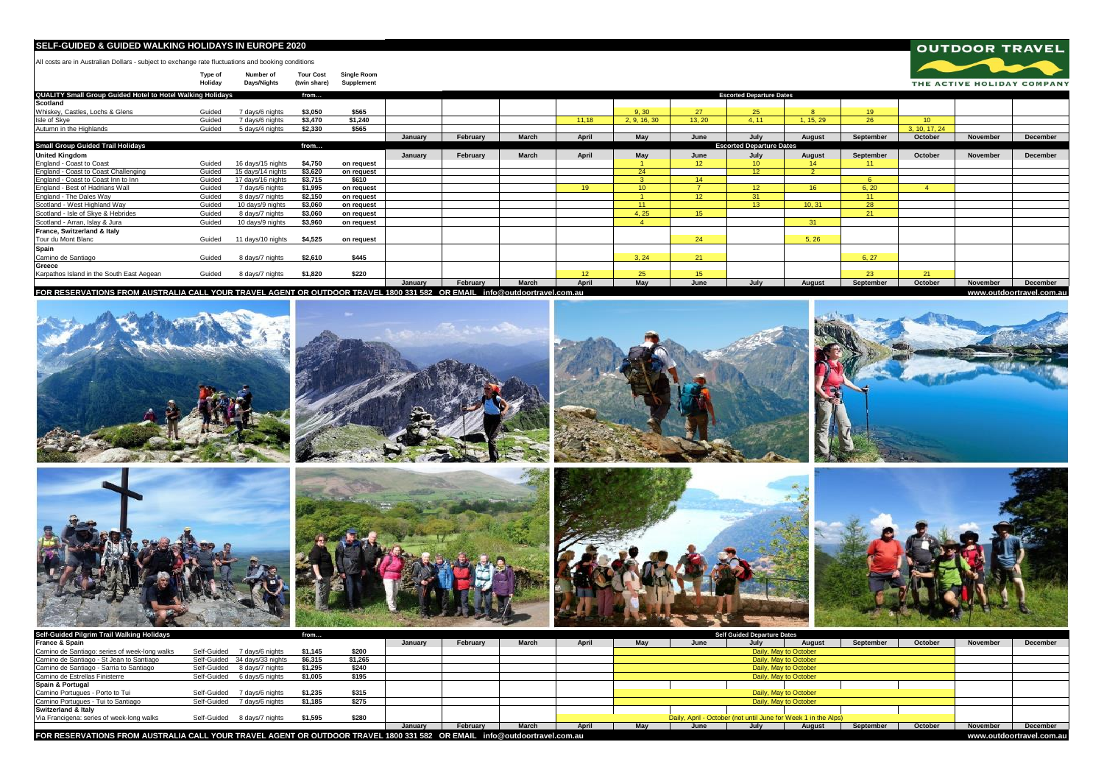## **SELF-GUIDED & GUIDED WALKING HOLIDAYS IN EUROPE 2020**

All costs are in Australian Dollars - subject to exchange rate fluctuations and booking conditions

**Type of Number of Tour Cost Single Room Holiday Days/Nights (twin share) Supplement**

| QUALITY Small Group Guided Hotel to Hotel Walking Holidays                                                               |        |                   | from    |            |         |          |       |                 |                 |                 | <b>Escorted Departure Dates</b> |                 |           |                 |                 |                          |
|--------------------------------------------------------------------------------------------------------------------------|--------|-------------------|---------|------------|---------|----------|-------|-----------------|-----------------|-----------------|---------------------------------|-----------------|-----------|-----------------|-----------------|--------------------------|
| <b>Scotland</b>                                                                                                          |        |                   |         |            |         |          |       |                 |                 |                 |                                 |                 |           |                 |                 |                          |
| Whiskey, Castles, Lochs & Glens                                                                                          | Guided | 7 days/6 nights   | \$3.050 | \$565      |         |          |       |                 | 9.30            | 27              | 25 <sup>25</sup>                | $\mathbf{R}$    | 19        |                 |                 |                          |
| Isle of Skye                                                                                                             | Guided | 7 days/6 nights   | \$3,470 | \$1.240    |         |          |       | 11.18           | 2. 9. 16. 30    | 13.20           | 4.11                            | 1.15.29         | 26        | 10 <sup>°</sup> |                 |                          |
| Autumn in the Highlands                                                                                                  | Guided | 5 days/4 nights   | \$2.330 | \$565      |         |          |       |                 |                 |                 |                                 |                 |           | 3, 10, 17, 24   |                 |                          |
|                                                                                                                          |        |                   |         |            | January | February | March | April           | May             | June            | July                            | August          | September | October         | <b>November</b> | <b>December</b>          |
| <b>Small Group Guided Trail Holidays</b>                                                                                 |        |                   | from    |            |         |          |       |                 |                 |                 | <b>Escorted Departure Dates</b> |                 |           |                 |                 |                          |
| <b>United Kingdom</b>                                                                                                    |        |                   |         |            | January | February | March | April           | May             | June            | July                            | August          | September | October         | <b>November</b> | December                 |
| England - Coast to Coast                                                                                                 | Guided | 16 days/15 nights | \$4,750 | on request |         |          |       |                 |                 | 12 <sup>°</sup> | 10 <sub>10</sub>                | 14              | 11        |                 |                 |                          |
| England - Coast to Coast Challenging                                                                                     | Guided | 15 days/14 nights | \$3,620 | on request |         |          |       |                 | 24              |                 | 12 <sup>2</sup>                 | <sup>2</sup>    |           |                 |                 |                          |
| England - Coast to Coast Inn to Inn                                                                                      | Guided | 17 days/16 nights | \$3,715 | \$610      |         |          |       |                 |                 | 14              |                                 |                 | 6         |                 |                 |                          |
| England - Best of Hadrians Wall                                                                                          | Guided | 7 days/6 nights   | \$1,995 | on request |         |          |       | 19 <sup>°</sup> | 10 <sup>1</sup> |                 | 12 <sup>°</sup>                 | 16 <sup>1</sup> | 6, 20     |                 |                 |                          |
| England - The Dales Way                                                                                                  | Guided | 8 days/7 nights   | \$2.150 | on request |         |          |       |                 |                 | 12 <sup>2</sup> | 31                              |                 | 11        |                 |                 |                          |
| Scotland - West Highland Way                                                                                             | Guided | 10 days/9 nights  | \$3,060 | on request |         |          |       |                 | 11 <sub>1</sub> |                 | 13 <sup>°</sup>                 | 10.31           | 28        |                 |                 |                          |
| Scotland - Isle of Skye & Hebrides                                                                                       | Guided | 8 days/7 nights   | \$3,060 | on request |         |          |       |                 | 4, 25           | 15 <sub>1</sub> |                                 |                 | 21        |                 |                 |                          |
| Scotland - Arran, Islay & Jura                                                                                           | Guided | 10 days/9 nights  | \$3.960 | on request |         |          |       |                 |                 |                 |                                 | 31              |           |                 |                 |                          |
| France, Switzerland & Italy                                                                                              |        |                   |         |            |         |          |       |                 |                 |                 |                                 |                 |           |                 |                 |                          |
| Tour du Mont Blanc                                                                                                       | Guided | 11 days/10 nights | \$4,525 | on request |         |          |       |                 |                 | 24              |                                 | 5, 26           |           |                 |                 |                          |
| Spain                                                                                                                    |        |                   |         |            |         |          |       |                 |                 |                 |                                 |                 |           |                 |                 |                          |
| Camino de Santiago                                                                                                       | Guided | 8 days/7 nights   | \$2,610 | \$445      |         |          |       |                 | 3.24            | 21              |                                 |                 | 6, 27     |                 |                 |                          |
| Greece                                                                                                                   |        |                   |         |            |         |          |       |                 |                 |                 |                                 |                 |           |                 |                 |                          |
| Karpathos Island in the South East Aegean                                                                                | Guided | 8 days/7 nights   | \$1,820 | \$220      |         |          |       | 12 <sup>°</sup> | 25              | 15 <sub>1</sub> |                                 |                 | 23        | 21              |                 |                          |
|                                                                                                                          |        |                   |         |            | January | February | March | April           | May             | June            | July                            | August          | September | October         | <b>November</b> | December                 |
| FOR RESERVATIONS FROM AUSTRALIA CALL YOUR TRAVEL AGENT OR OUTDOOR TRAVEL 1800 331 582 OR EMAIL info@outdoortravel.com.au |        |                   |         |            |         |          |       |                 |                 |                 |                                 |                 |           |                 |                 | www.outdoortravel.com.au |

**OUTDOOR TRAVEL** 

THE ACTIVE HOLIDAY COMPANY

2000 10

| Self-Guided Pilgrim Trail Walking Holidays                                                                               |                                | from    |         |         |          |       |       |                                                                |      | <b>Self Guided Departure Dates</b> |                       |                          |         |          |          |
|--------------------------------------------------------------------------------------------------------------------------|--------------------------------|---------|---------|---------|----------|-------|-------|----------------------------------------------------------------|------|------------------------------------|-----------------------|--------------------------|---------|----------|----------|
| France & Spain                                                                                                           |                                |         |         | January | February | March | April | May                                                            | June | July                               | August                | September                | October | November | December |
| Camino de Santiago: series of week-long walks                                                                            | Self-Guided 7 days/6 nights    | \$1.145 | \$200   |         |          |       |       |                                                                |      |                                    | Daily, May to October |                          |         |          |          |
| Camino de Santiago - St Jean to Santiago                                                                                 | Self-Guided 34 days/33 nights  | \$6.315 | \$1,265 |         |          |       |       |                                                                |      |                                    | Daily, May to October |                          |         |          |          |
| Camino de Santiago - Sarria to Santiago                                                                                  | Self-Guided 8 days/7 nights    | \$1.295 | \$240   |         |          |       |       |                                                                |      |                                    | Daily, May to October |                          |         |          |          |
| Camino de Estrellas Finisterre                                                                                           | Self-Guided 6 days/5 nights    | \$1.005 | \$195   |         |          |       |       |                                                                |      |                                    | Daily, May to October |                          |         |          |          |
| Spain & Portugal                                                                                                         |                                |         |         |         |          |       |       |                                                                |      |                                    |                       |                          |         |          |          |
| Camino Portugues - Porto to Tui                                                                                          | 7 davs/6 nights<br>Self-Guided | \$1.235 | \$315   |         |          |       |       |                                                                |      |                                    | Daily, May to October |                          |         |          |          |
| Camino Portugues - Tui to Santiago                                                                                       | Self-Guided<br>7 davs/6 nights | \$1.185 | \$275   |         |          |       |       |                                                                |      |                                    | Daily, May to October |                          |         |          |          |
| Switzerland & Italv                                                                                                      |                                |         |         |         |          |       |       |                                                                |      |                                    |                       |                          |         |          |          |
| Via Francigena: series of week-long walks                                                                                | Self-Guided 8 days/7 nights    | \$1.595 | \$280   |         |          |       |       | Daily, April - October (not until June for Week 1 in the Alps) |      |                                    |                       |                          |         |          |          |
|                                                                                                                          |                                |         |         | January | February | March | April | May                                                            | June | July                               | August                | September                | October | November | December |
| FOR RESERVATIONS FROM AUSTRALIA CALL YOUR TRAVEL AGENT OR OUTDOOR TRAVEL 1800 331 582 OR EMAIL info@outdoortravel.com.au |                                |         |         |         |          |       |       |                                                                |      |                                    |                       | www.outdoortravel.com.au |         |          |          |